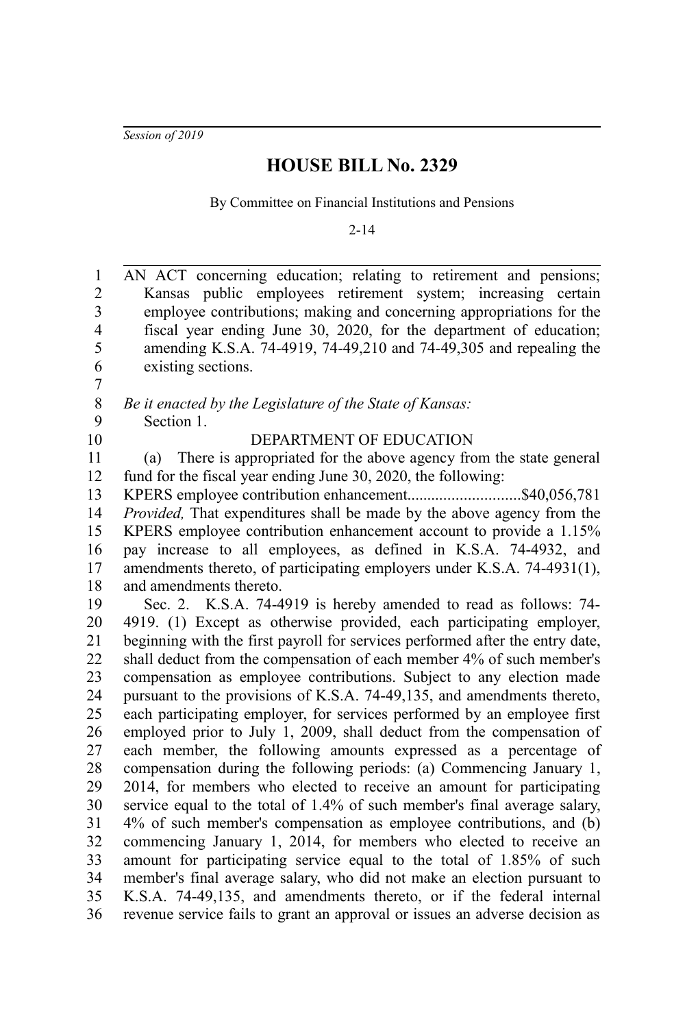*Session of 2019*

## **HOUSE BILL No. 2329**

By Committee on Financial Institutions and Pensions

2-14

AN ACT concerning education; relating to retirement and pensions; Kansas public employees retirement system; increasing certain employee contributions; making and concerning appropriations for the fiscal year ending June 30, 2020, for the department of education; amending K.S.A. 74-4919, 74-49,210 and 74-49,305 and repealing the existing sections. *Be it enacted by the Legislature of the State of Kansas:* Section 1. DEPARTMENT OF EDUCATION (a) There is appropriated for the above agency from the state general fund for the fiscal year ending June 30, 2020, the following: KPERS employee contribution enhancement...............................\$40,056,781 *Provided,* That expenditures shall be made by the above agency from the KPERS employee contribution enhancement account to provide a 1.15% pay increase to all employees, as defined in K.S.A. 74-4932, and amendments thereto, of participating employers under K.S.A. 74-4931(1), and amendments thereto. Sec. 2. K.S.A. 74-4919 is hereby amended to read as follows: 74- 4919. (1) Except as otherwise provided, each participating employer, beginning with the first payroll for services performed after the entry date, shall deduct from the compensation of each member 4% of such member's compensation as employee contributions. Subject to any election made pursuant to the provisions of K.S.A. 74-49,135, and amendments thereto, each participating employer, for services performed by an employee first employed prior to July 1, 2009, shall deduct from the compensation of each member, the following amounts expressed as a percentage of compensation during the following periods: (a) Commencing January 1, 2014, for members who elected to receive an amount for participating service equal to the total of 1.4% of such member's final average salary, 4% of such member's compensation as employee contributions, and (b) commencing January 1, 2014, for members who elected to receive an amount for participating service equal to the total of 1.85% of such member's final average salary, who did not make an election pursuant to K.S.A. 74-49,135, and amendments thereto, or if the federal internal revenue service fails to grant an approval or issues an adverse decision as 1 2 3 4 5 6 7 8 9 10 11 12 13 14 15 16 17 18 19 20 21 22 23 24 25 26 27 28 29 30 31 32 33 34 35 36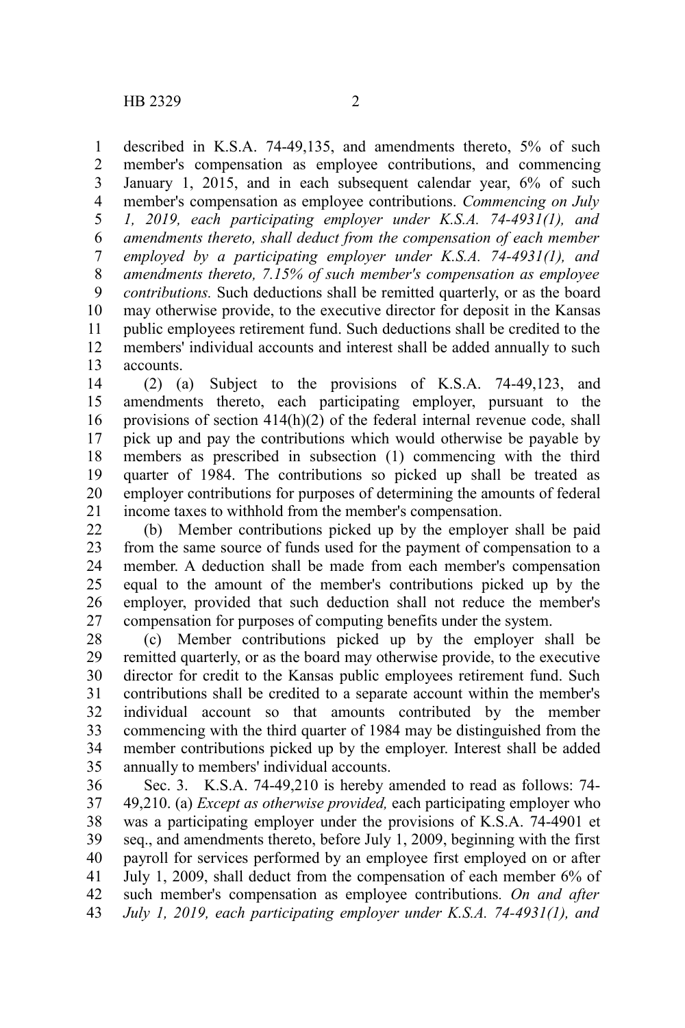described in K.S.A. 74-49,135, and amendments thereto, 5% of such member's compensation as employee contributions, and commencing January 1, 2015, and in each subsequent calendar year,  $6\%$  of such member's compensation as employee contributions. *Commencing on July 1, 2019, each participating employer under K.S.A. 74-4931(1), and amendments thereto, shall deduct from the compensation of each member employed by a participating employer under K.S.A. 74-4931(1), and amendments thereto, 7.15% of such member's compensation as employee contributions.* Such deductions shall be remitted quarterly, or as the board may otherwise provide, to the executive director for deposit in the Kansas public employees retirement fund. Such deductions shall be credited to the members' individual accounts and interest shall be added annually to such accounts. 1 2 3 4 5 6 7 8 9 10 11 12 13

(2) (a) Subject to the provisions of K.S.A. 74-49,123, and amendments thereto, each participating employer, pursuant to the provisions of section 414(h)(2) of the federal internal revenue code, shall pick up and pay the contributions which would otherwise be payable by members as prescribed in subsection (1) commencing with the third quarter of 1984. The contributions so picked up shall be treated as employer contributions for purposes of determining the amounts of federal income taxes to withhold from the member's compensation. 14 15 16 17 18 19 20 21

(b) Member contributions picked up by the employer shall be paid from the same source of funds used for the payment of compensation to a member. A deduction shall be made from each member's compensation equal to the amount of the member's contributions picked up by the employer, provided that such deduction shall not reduce the member's compensation for purposes of computing benefits under the system. 22 23 24 25 26 27

(c) Member contributions picked up by the employer shall be remitted quarterly, or as the board may otherwise provide, to the executive director for credit to the Kansas public employees retirement fund. Such contributions shall be credited to a separate account within the member's individual account so that amounts contributed by the member commencing with the third quarter of 1984 may be distinguished from the member contributions picked up by the employer. Interest shall be added annually to members' individual accounts. 28 29 30 31 32 33 34 35

Sec. 3. K.S.A. 74-49,210 is hereby amended to read as follows: 74- 49,210. (a) *Except as otherwise provided,* each participating employer who was a participating employer under the provisions of K.S.A. 74-4901 et seq., and amendments thereto, before July 1, 2009, beginning with the first payroll for services performed by an employee first employed on or after July 1, 2009, shall deduct from the compensation of each member 6% of such member's compensation as employee contributions*. On and after July 1, 2019, each participating employer under K.S.A. 74-4931(1), and* 36 37 38 39 40 41 42 43